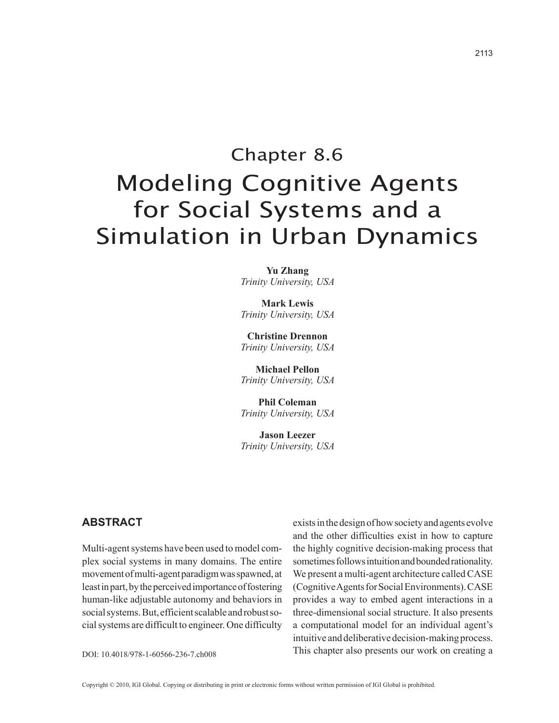# Chapter 8.6 Modeling Cognitive Agents for Social Systems and a Simulation in Urban Dynamics

**Yu Zhang** *Trinity University, USA*

**Mark Lewis** *Trinity University, USA*

**Christine Drennon** *Trinity University, USA*

**Michael Pellon** *Trinity University, USA*

**Phil Coleman** *Trinity University, USA*

**Jason Leezer** *Trinity University, USA*

# **Abstract**

Multi-agent systems have been used to model complex social systems in many domains. The entire movement of multi-agent paradigm was spawned, at least in part, by the perceived importance of fostering human-like adjustable autonomy and behaviors in social systems. But, efficient scalable and robust social systems are difficult to engineer. One difficulty

exists in the design of how society and agents evolve and the other difficulties exist in how to capture the highly cognitive decision-making process that sometimes follows intuition and bounded rationality. We present a multi-agent architecture called CASE (Cognitive Agents for Social Environments). CASE provides a way to embed agent interactions in a three-dimensional social structure. It also presents a computational model for an individual agent's intuitive and deliberative decision-making process. DOI: 10.4018/978-1-60566-236-7.ch008 This chapter also presents our work on creating a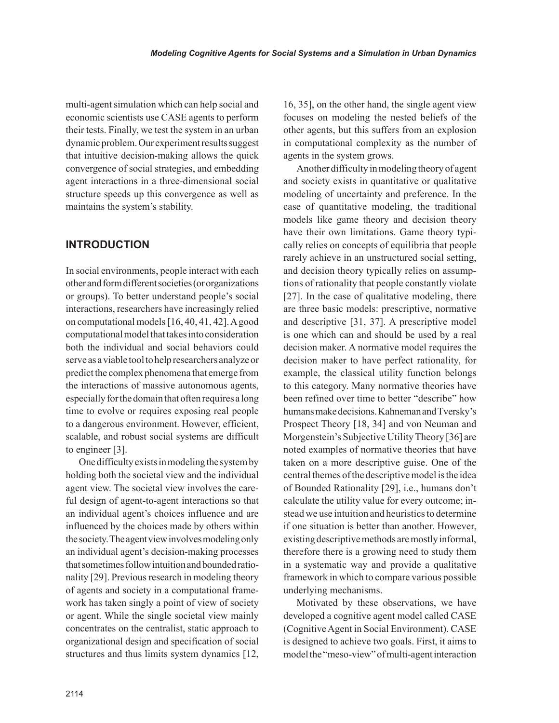multi-agent simulation which can help social and economic scientists use CASE agents to perform their tests. Finally, we test the system in an urban dynamic problem. Our experiment results suggest that intuitive decision-making allows the quick convergence of social strategies, and embedding agent interactions in a three-dimensional social structure speeds up this convergence as well as maintains the system's stability.

# **INTRODUCTION**

In social environments, people interact with each other and form different societies (or organizations or groups). To better understand people's social interactions, researchers have increasingly relied on computational models [16, 40, 41, 42]. A good computational model that takes into consideration both the individual and social behaviors could serve as a viable tool to help researchers analyze or predict the complex phenomena that emerge from the interactions of massive autonomous agents, especially for the domain that often requires a long time to evolve or requires exposing real people to a dangerous environment. However, efficient, scalable, and robust social systems are difficult to engineer [3].

One difficulty exists in modeling the system by holding both the societal view and the individual agent view. The societal view involves the careful design of agent-to-agent interactions so that an individual agent's choices influence and are influenced by the choices made by others within the society. The agent view involves modeling only an individual agent's decision-making processes that sometimes follow intuition and bounded rationality [29]. Previous research in modeling theory of agents and society in a computational framework has taken singly a point of view of society or agent. While the single societal view mainly concentrates on the centralist, static approach to organizational design and specification of social structures and thus limits system dynamics [12,

16, 35], on the other hand, the single agent view focuses on modeling the nested beliefs of the other agents, but this suffers from an explosion in computational complexity as the number of agents in the system grows.

Another difficulty in modeling theory of agent and society exists in quantitative or qualitative modeling of uncertainty and preference. In the case of quantitative modeling, the traditional models like game theory and decision theory have their own limitations. Game theory typically relies on concepts of equilibria that people rarely achieve in an unstructured social setting, and decision theory typically relies on assumptions of rationality that people constantly violate [27]. In the case of qualitative modeling, there are three basic models: prescriptive, normative and descriptive [31, 37]. A prescriptive model is one which can and should be used by a real decision maker. A normative model requires the decision maker to have perfect rationality, for example, the classical utility function belongs to this category. Many normative theories have been refined over time to better "describe" how humans make decisions. Kahneman and Tversky's Prospect Theory [18, 34] and von Neuman and Morgenstein's Subjective Utility Theory [36] are noted examples of normative theories that have taken on a more descriptive guise. One of the central themes of the descriptive model is the idea of Bounded Rationality [29], i.e., humans don't calculate the utility value for every outcome; instead we use intuition and heuristics to determine if one situation is better than another. However, existing descriptive methods are mostly informal, therefore there is a growing need to study them in a systematic way and provide a qualitative framework in which to compare various possible underlying mechanisms.

Motivated by these observations, we have developed a cognitive agent model called CASE (Cognitive Agent in Social Environment). CASE is designed to achieve two goals. First, it aims to model the "meso-view" of multi-agent interaction